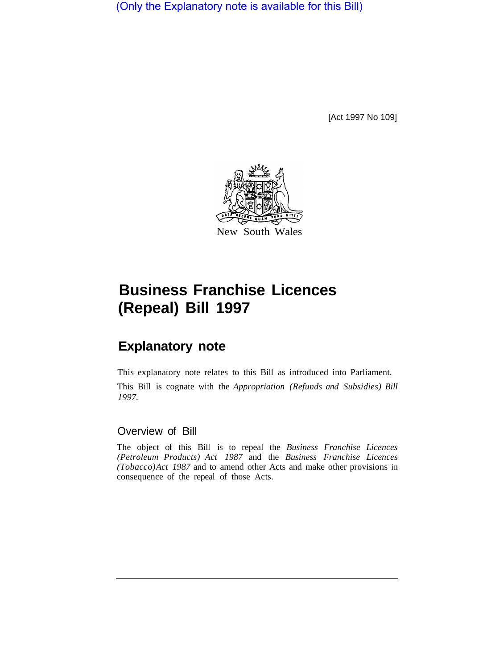(Only the Explanatory note is available for this Bill)

[Act 1997 No 109]



# **Business Franchise Licences (Repeal) Bill 1997**

## **Explanatory note**

This explanatory note relates to this Bill as introduced into Parliament. This Bill is cognate with the *Appropriation (Refunds and Subsidies) Bill 1997.* 

#### Overview of Bill

The object of this Bill is to repeal the *Business Franchise Licences (Petroleum Products) Act 1987* and the *Business Franchise Licences (Tobacco) Act 1987* and to amend other Acts and make other provisions in consequence of the repeal of those Acts.